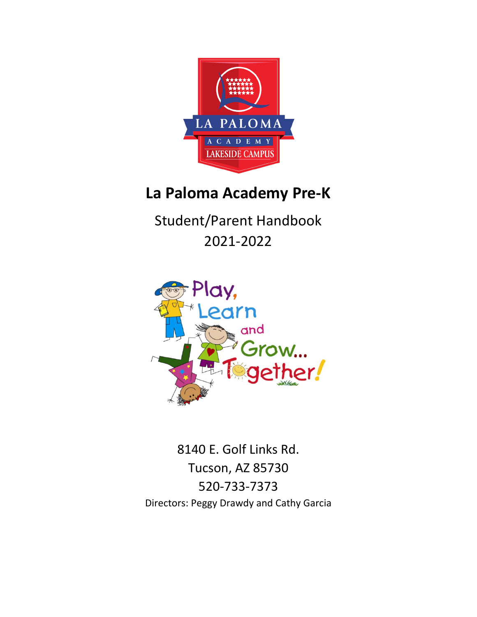

# **La Paloma Academy Pre-K**

Student/Parent Handbook 2021-2022



8140 E. Golf Links Rd. Tucson, AZ 85730 520-733-7373 Directors: Peggy Drawdy and Cathy Garcia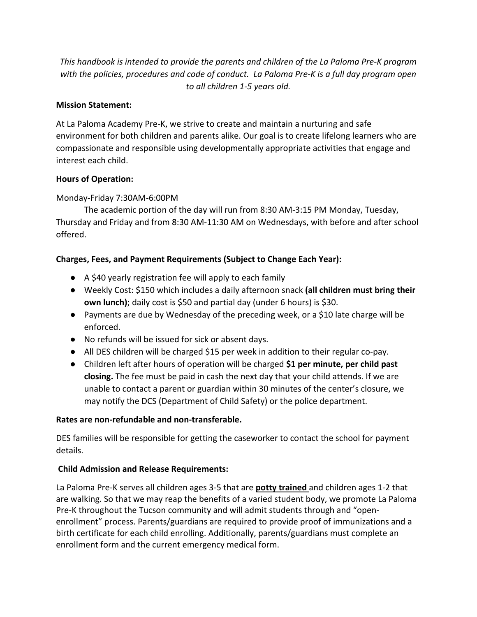*This handbook is intended to provide the parents and children of the La Paloma Pre-K program with the policies, procedures and code of conduct. La Paloma Pre-K is a full day program open to all children 1-5 years old.*

# **Mission Statement:**

At La Paloma Academy Pre-K, we strive to create and maintain a nurturing and safe environment for both children and parents alike. Our goal is to create lifelong learners who are compassionate and responsible using developmentally appropriate activities that engage and interest each child.

#### **Hours of Operation:**

# Monday-Friday 7:30AM-6:00PM

The academic portion of the day will run from 8:30 AM-3:15 PM Monday, Tuesday, Thursday and Friday and from 8:30 AM-11:30 AM on Wednesdays, with before and after school offered.

# **Charges, Fees, and Payment Requirements (Subject to Change Each Year):**

- A \$40 yearly registration fee will apply to each family
- Weekly Cost: \$150 which includes a daily afternoon snack **(all children must bring their own lunch)**; daily cost is \$50 and partial day (under 6 hours) is \$30.
- Payments are due by Wednesday of the preceding week, or a \$10 late charge will be enforced.
- No refunds will be issued for sick or absent days.
- All DES children will be charged \$15 per week in addition to their regular co-pay.
- Children left after hours of operation will be charged **\$1 per minute, per child past closing.** The fee must be paid in cash the next day that your child attends. If we are unable to contact a parent or guardian within 30 minutes of the center's closure, we may notify the DCS (Department of Child Safety) or the police department.

# **Rates are non-refundable and non-transferable.**

DES families will be responsible for getting the caseworker to contact the school for payment details.

# **Child Admission and Release Requirements:**

La Paloma Pre-K serves all children ages 3-5 that are **potty trained** and children ages 1-2 that are walking. So that we may reap the benefits of a varied student body, we promote La Paloma Pre-K throughout the Tucson community and will admit students through and "openenrollment" process. Parents/guardians are required to provide proof of immunizations and a birth certificate for each child enrolling. Additionally, parents/guardians must complete an enrollment form and the current emergency medical form.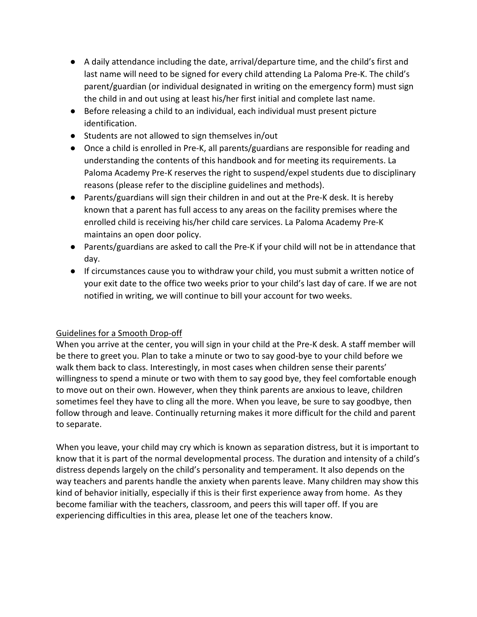- A daily attendance including the date, arrival/departure time, and the child's first and last name will need to be signed for every child attending La Paloma Pre-K. The child's parent/guardian (or individual designated in writing on the emergency form) must sign the child in and out using at least his/her first initial and complete last name.
- Before releasing a child to an individual, each individual must present picture identification.
- Students are not allowed to sign themselves in/out
- Once a child is enrolled in Pre-K, all parents/guardians are responsible for reading and understanding the contents of this handbook and for meeting its requirements. La Paloma Academy Pre-K reserves the right to suspend/expel students due to disciplinary reasons (please refer to the discipline guidelines and methods).
- Parents/guardians will sign their children in and out at the Pre-K desk. It is hereby known that a parent has full access to any areas on the facility premises where the enrolled child is receiving his/her child care services. La Paloma Academy Pre-K maintains an open door policy.
- Parents/guardians are asked to call the Pre-K if your child will not be in attendance that day.
- If circumstances cause you to withdraw your child, you must submit a written notice of your exit date to the office two weeks prior to your child's last day of care. If we are not notified in writing, we will continue to bill your account for two weeks.

# Guidelines for a Smooth Drop-off

When you arrive at the center, you will sign in your child at the Pre-K desk. A staff member will be there to greet you. Plan to take a minute or two to say good-bye to your child before we walk them back to class. Interestingly, in most cases when children sense their parents' willingness to spend a minute or two with them to say good bye, they feel comfortable enough to move out on their own. However, when they think parents are anxious to leave, children sometimes feel they have to cling all the more. When you leave, be sure to say goodbye, then follow through and leave. Continually returning makes it more difficult for the child and parent to separate.

When you leave, your child may cry which is known as separation distress, but it is important to know that it is part of the normal developmental process. The duration and intensity of a child's distress depends largely on the child's personality and temperament. It also depends on the way teachers and parents handle the anxiety when parents leave. Many children may show this kind of behavior initially, especially if this is their first experience away from home. As they become familiar with the teachers, classroom, and peers this will taper off. If you are experiencing difficulties in this area, please let one of the teachers know.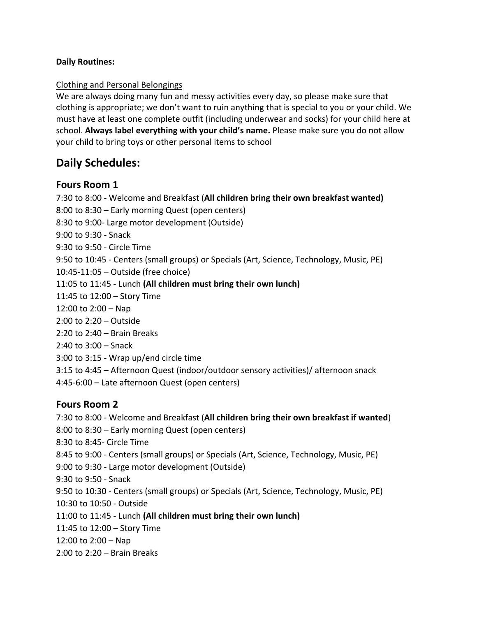#### **Daily Routines:**

#### Clothing and Personal Belongings

We are always doing many fun and messy activities every day, so please make sure that clothing is appropriate; we don't want to ruin anything that is special to you or your child. We must have at least one complete outfit (including underwear and socks) for your child here at school. **Always label everything with your child's name.** Please make sure you do not allow your child to bring toys or other personal items to school

# **Daily Schedules:**

# **Fours Room 1**

7:30 to 8:00 - Welcome and Breakfast (**All children bring their own breakfast wanted)** 8:00 to 8:30 – Early morning Quest (open centers) 8:30 to 9:00- Large motor development (Outside) 9:00 to 9:30 - Snack 9:30 to 9:50 - Circle Time 9:50 to 10:45 - Centers (small groups) or Specials (Art, Science, Technology, Music, PE) 10:45-11:05 – Outside (free choice) 11:05 to 11:45 - Lunch **(All children must bring their own lunch)** 11:45 to 12:00 – Story Time 12:00 to 2:00 – Nap 2:00 to 2:20 – Outside 2:20 to 2:40 – Brain Breaks 2:40 to 3:00 – Snack 3:00 to 3:15 - Wrap up/end circle time 3:15 to 4:45 – Afternoon Quest (indoor/outdoor sensory activities)/ afternoon snack 4:45-6:00 – Late afternoon Quest (open centers) **Fours Room 2**

7:30 to 8:00 - Welcome and Breakfast (**All children bring their own breakfast if wanted**) 8:00 to 8:30 – Early morning Quest (open centers) 8:30 to 8:45- Circle Time 8:45 to 9:00 - Centers (small groups) or Specials (Art, Science, Technology, Music, PE) 9:00 to 9:30 - Large motor development (Outside) 9:30 to 9:50 - Snack 9:50 to 10:30 - Centers (small groups) or Specials (Art, Science, Technology, Music, PE) 10:30 to 10:50 - Outside 11:00 to 11:45 - Lunch **(All children must bring their own lunch)** 11:45 to 12:00 – Story Time 12:00 to 2:00 – Nap 2:00 to 2:20 – Brain Breaks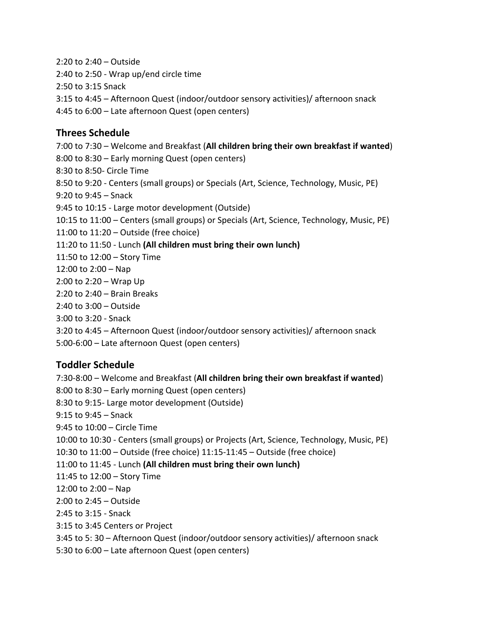2:20 to 2:40 – Outside 2:40 to 2:50 - Wrap up/end circle time 2:50 to 3:15 Snack 3:15 to 4:45 – Afternoon Quest (indoor/outdoor sensory activities)/ afternoon snack 4:45 to 6:00 – Late afternoon Quest (open centers) **Threes Schedule** 7:00 to 7:30 – Welcome and Breakfast (**All children bring their own breakfast if wanted**) 8:00 to 8:30 – Early morning Quest (open centers) 8:30 to 8:50- Circle Time 8:50 to 9:20 - Centers (small groups) or Specials (Art, Science, Technology, Music, PE) 9:20 to 9:45 – Snack 9:45 to 10:15 - Large motor development (Outside) 10:15 to 11:00 – Centers (small groups) or Specials (Art, Science, Technology, Music, PE) 11:00 to 11:20 – Outside (free choice) 11:20 to 11:50 - Lunch **(All children must bring their own lunch)** 11:50 to 12:00 – Story Time 12:00 to 2:00 – Nap 2:00 to 2:20 – Wrap Up 2:20 to 2:40 – Brain Breaks 2:40 to 3:00 – Outside 3:00 to 3:20 - Snack 3:20 to 4:45 – Afternoon Quest (indoor/outdoor sensory activities)/ afternoon snack

5:00-6:00 – Late afternoon Quest (open centers)

# **Toddler Schedule**

7:30-8:00 – Welcome and Breakfast (**All children bring their own breakfast if wanted**) 8:00 to 8:30 – Early morning Quest (open centers) 8:30 to 9:15- Large motor development (Outside) 9:15 to 9:45 – Snack 9:45 to 10:00 – Circle Time 10:00 to 10:30 - Centers (small groups) or Projects (Art, Science, Technology, Music, PE) 10:30 to 11:00 – Outside (free choice) 11:15-11:45 – Outside (free choice) 11:00 to 11:45 - Lunch **(All children must bring their own lunch)** 11:45 to 12:00 – Story Time 12:00 to 2:00 – Nap 2:00 to 2:45 – Outside 2:45 to 3:15 - Snack 3:15 to 3:45 Centers or Project 3:45 to 5: 30 – Afternoon Quest (indoor/outdoor sensory activities)/ afternoon snack 5:30 to 6:00 – Late afternoon Quest (open centers)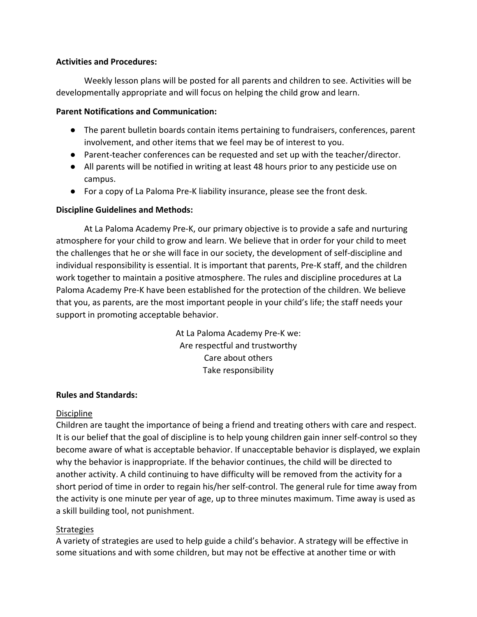#### **Activities and Procedures:**

Weekly lesson plans will be posted for all parents and children to see. Activities will be developmentally appropriate and will focus on helping the child grow and learn.

#### **Parent Notifications and Communication:**

- The parent bulletin boards contain items pertaining to fundraisers, conferences, parent involvement, and other items that we feel may be of interest to you.
- Parent-teacher conferences can be requested and set up with the teacher/director.
- All parents will be notified in writing at least 48 hours prior to any pesticide use on campus.
- For a copy of La Paloma Pre-K liability insurance, please see the front desk.

# **Discipline Guidelines and Methods:**

At La Paloma Academy Pre-K, our primary objective is to provide a safe and nurturing atmosphere for your child to grow and learn. We believe that in order for your child to meet the challenges that he or she will face in our society, the development of self-discipline and individual responsibility is essential. It is important that parents, Pre-K staff, and the children work together to maintain a positive atmosphere. The rules and discipline procedures at La Paloma Academy Pre-K have been established for the protection of the children. We believe that you, as parents, are the most important people in your child's life; the staff needs your support in promoting acceptable behavior.

> At La Paloma Academy Pre-K we: Are respectful and trustworthy Care about others Take responsibility

#### **Rules and Standards:**

# **Discipline**

Children are taught the importance of being a friend and treating others with care and respect. It is our belief that the goal of discipline is to help young children gain inner self-control so they become aware of what is acceptable behavior. If unacceptable behavior is displayed, we explain why the behavior is inappropriate. If the behavior continues, the child will be directed to another activity. A child continuing to have difficulty will be removed from the activity for a short period of time in order to regain his/her self-control. The general rule for time away from the activity is one minute per year of age, up to three minutes maximum. Time away is used as a skill building tool, not punishment.

#### **Strategies**

A variety of strategies are used to help guide a child's behavior. A strategy will be effective in some situations and with some children, but may not be effective at another time or with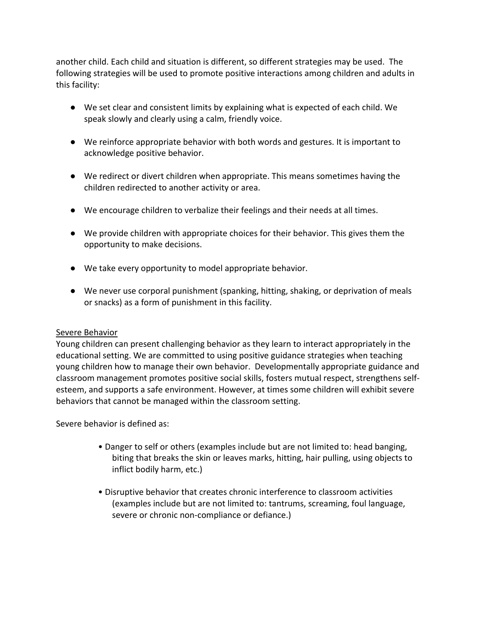another child. Each child and situation is different, so different strategies may be used. The following strategies will be used to promote positive interactions among children and adults in this facility:

- We set clear and consistent limits by explaining what is expected of each child. We speak slowly and clearly using a calm, friendly voice.
- We reinforce appropriate behavior with both words and gestures. It is important to acknowledge positive behavior.
- We redirect or divert children when appropriate. This means sometimes having the children redirected to another activity or area.
- We encourage children to verbalize their feelings and their needs at all times.
- We provide children with appropriate choices for their behavior. This gives them the opportunity to make decisions.
- We take every opportunity to model appropriate behavior.
- We never use corporal punishment (spanking, hitting, shaking, or deprivation of meals or snacks) as a form of punishment in this facility.

#### Severe Behavior

Young children can present challenging behavior as they learn to interact appropriately in the educational setting. We are committed to using positive guidance strategies when teaching young children how to manage their own behavior. Developmentally appropriate guidance and classroom management promotes positive social skills, fosters mutual respect, strengthens selfesteem, and supports a safe environment. However, at times some children will exhibit severe behaviors that cannot be managed within the classroom setting.

Severe behavior is defined as:

- Danger to self or others (examples include but are not limited to: head banging, biting that breaks the skin or leaves marks, hitting, hair pulling, using objects to inflict bodily harm, etc.)
- Disruptive behavior that creates chronic interference to classroom activities (examples include but are not limited to: tantrums, screaming, foul language, severe or chronic non-compliance or defiance.)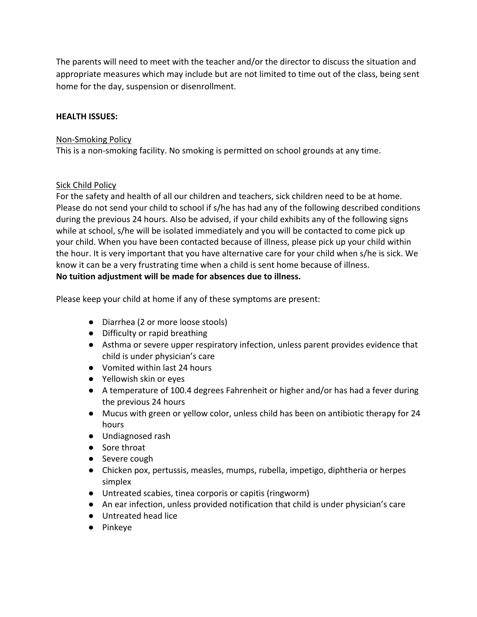The parents will need to meet with the teacher and/or the director to discuss the situation and appropriate measures which may include but are not limited to time out of the class, being sent home for the day, suspension or disenrollment.

#### **HEALTH ISSUES:**

#### Non-Smoking Policy

This is a non-smoking facility. No smoking is permitted on school grounds at any time.

# Sick Child Policy

For the safety and health of all our children and teachers, sick children need to be at home. Please do not send your child to school if s/he has had any of the following described conditions during the previous 24 hours. Also be advised, if your child exhibits any of the following signs while at school, s/he will be isolated immediately and you will be contacted to come pick up your child. When you have been contacted because of illness, please pick up your child within the hour. It is very important that you have alternative care for your child when s/he is sick. We know it can be a very frustrating time when a child is sent home because of illness. **No tuition adjustment will be made for absences due to illness.** 

Please keep your child at home if any of these symptoms are present:

- Diarrhea (2 or more loose stools)
- Difficulty or rapid breathing
- Asthma or severe upper respiratory infection, unless parent provides evidence that child is under physician's care
- Vomited within last 24 hours
- Yellowish skin or eyes
- A temperature of 100.4 degrees Fahrenheit or higher and/or has had a fever during the previous 24 hours
- Mucus with green or yellow color, unless child has been on antibiotic therapy for 24 hours
- Undiagnosed rash
- Sore throat
- Severe cough
- Chicken pox, pertussis, measles, mumps, rubella, impetigo, diphtheria or herpes simplex
- Untreated scabies, tinea corporis or capitis (ringworm)
- An ear infection, unless provided notification that child is under physician's care
- Untreated head lice
- Pinkeye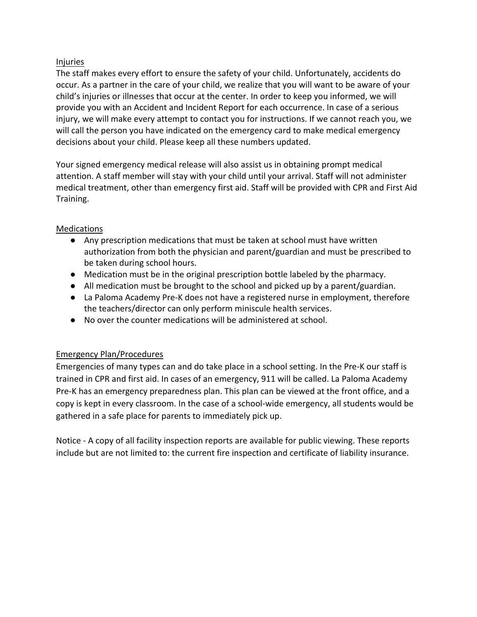# Injuries

The staff makes every effort to ensure the safety of your child. Unfortunately, accidents do occur. As a partner in the care of your child, we realize that you will want to be aware of your child's injuries or illnesses that occur at the center. In order to keep you informed, we will provide you with an Accident and Incident Report for each occurrence. In case of a serious injury, we will make every attempt to contact you for instructions. If we cannot reach you, we will call the person you have indicated on the emergency card to make medical emergency decisions about your child. Please keep all these numbers updated.

Your signed emergency medical release will also assist us in obtaining prompt medical attention. A staff member will stay with your child until your arrival. Staff will not administer medical treatment, other than emergency first aid. Staff will be provided with CPR and First Aid Training.

# Medications

- Any prescription medications that must be taken at school must have written authorization from both the physician and parent/guardian and must be prescribed to be taken during school hours.
- Medication must be in the original prescription bottle labeled by the pharmacy.
- All medication must be brought to the school and picked up by a parent/guardian.
- La Paloma Academy Pre-K does not have a registered nurse in employment, therefore the teachers/director can only perform miniscule health services.
- No over the counter medications will be administered at school.

# Emergency Plan/Procedures

Emergencies of many types can and do take place in a school setting. In the Pre-K our staff is trained in CPR and first aid. In cases of an emergency, 911 will be called. La Paloma Academy Pre-K has an emergency preparedness plan. This plan can be viewed at the front office, and a copy is kept in every classroom. In the case of a school-wide emergency, all students would be gathered in a safe place for parents to immediately pick up.

Notice - A copy of all facility inspection reports are available for public viewing. These reports include but are not limited to: the current fire inspection and certificate of liability insurance.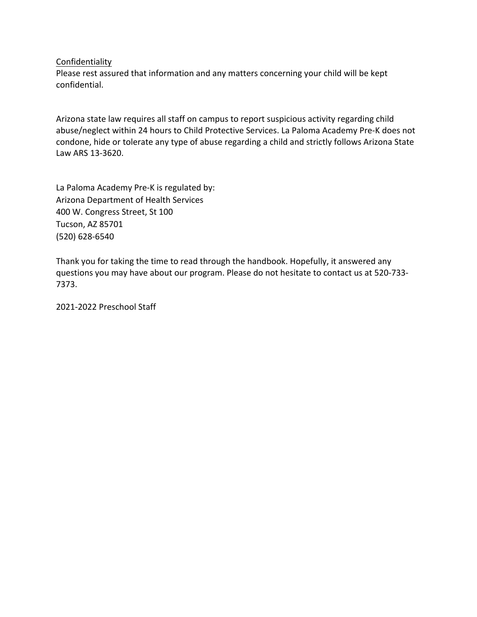#### **Confidentiality**

Please rest assured that information and any matters concerning your child will be kept confidential.

Arizona state law requires all staff on campus to report suspicious activity regarding child abuse/neglect within 24 hours to Child Protective Services. La Paloma Academy Pre-K does not condone, hide or tolerate any type of abuse regarding a child and strictly follows Arizona State Law ARS 13-3620.

La Paloma Academy Pre-K is regulated by: Arizona Department of Health Services 400 W. Congress Street, St 100 Tucson, AZ 85701 (520) 628-6540

Thank you for taking the time to read through the handbook. Hopefully, it answered any questions you may have about our program. Please do not hesitate to contact us at 520-733- 7373.

2021-2022 Preschool Staff